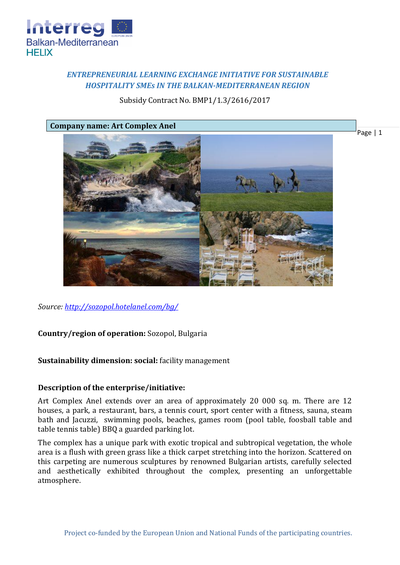

# *ENTREPRENEURIAL LEARNING EXCHANGE INITIATIVE FOR SUSTAINABLE HOSPITALITY SMEs IN THE BALKAN-MEDITERRANEAN REGION*

## Subsidy Contract No. BMP1/1.3/2616/2017

Page | 1

**Company name: Art Complex Anel**



*Source:<http://sozopol.hotelanel.com/bg/>*

**Country/region of operation:** Sozopol, Bulgaria

**Sustainability dimension: social:** facility management

### **Description of the enterprise/initiative:**

Art Complex Anel extends over an area of approximately 20 000 sq. m. There are 12 houses, a park, a restaurant, bars, a tennis court, sport center with a fitness, sauna, steam bath and Jacuzzi, swimming pools, beaches, games room (pool table, foosball table and table tennis table) BBQ a guarded parking lot.

The complex has a unique park with exotic tropical and subtropical vegetation, the whole area is a flush with green grass like a thick carpet stretching into the horizon. Scattered on this carpeting are numerous sculptures by renowned Bulgarian artists, carefully selected and aesthetically exhibited throughout the complex, presenting an unforgettable atmosphere.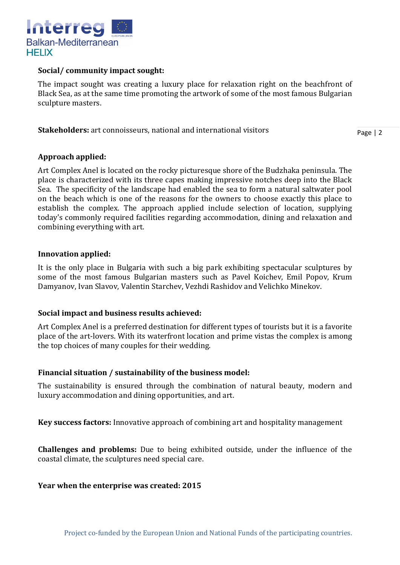

#### **Social/ community impact sought:**

The impact sought was creating a luxury place for relaxation right on the beachfront of Black Sea, as at the same time promoting the artwork of some of the most famous Bulgarian sculpture masters.

**Stakeholders:** art connoisseurs, national and international visitors

Page | 2

### **Approach applied:**

Art Complex Anel is located on the rocky picturesque shore of the Budzhaka peninsula. The place is characterized with its three capes making impressive notches deep into the Black Sea. The specificity of the landscape had enabled the sea to form a natural saltwater pool on the beach which is one of the reasons for the owners to choose exactly this place to establish the complex. The approach applied include selection of location, supplying today's commonly required facilities regarding accommodation, dining and relaxation and combining everything with art.

### **Innovation applied:**

It is the only place in Bulgaria with such a big park exhibiting spectacular sculptures by some of the most famous Bulgarian masters such as Pavel Koichev, Emil Popov, Krum Damyanov, Ivan Slavov, Valentin Starchev, Vezhdi Rashidov and Velichko Minekov.

### **Social impact and business results achieved:**

Art Complex Anel is a preferred destination for different types of tourists but it is a favorite place of the art-lovers. With its waterfront location and prime vistas the complex is among the top choices of many couples for their wedding.

### **Financial situation / sustainability of the business model:**

The sustainability is ensured through the combination of natural beauty, modern and luxury accommodation and dining opportunities, and art.

**Key success factors:** Innovative approach of combining art and hospitality management

**Challenges and problems:** Due to being exhibited outside, under the influence of the coastal climate, the sculptures need special care.

#### **Year when the enterprise was created: 2015**